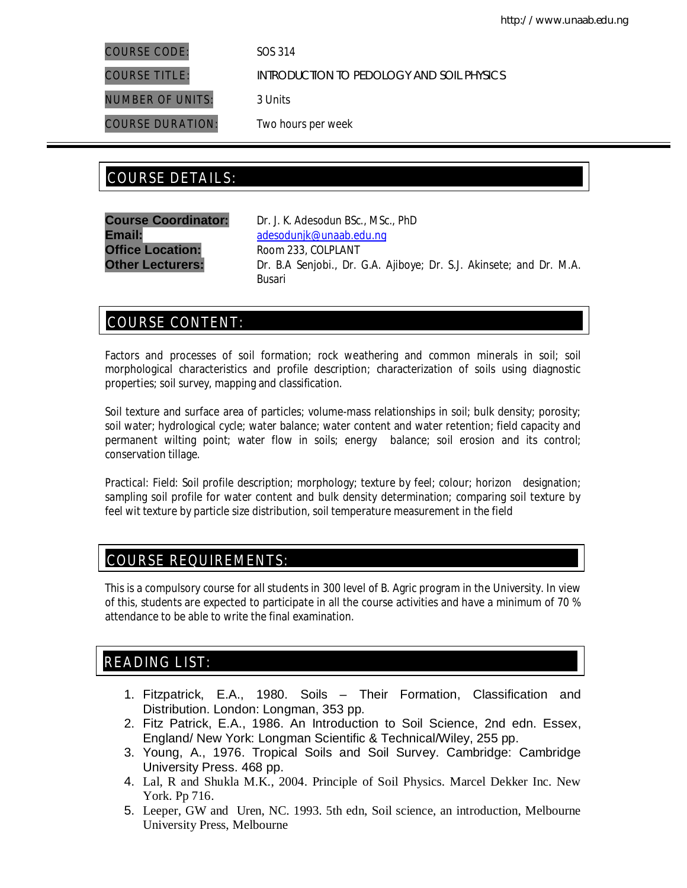COURSE CODE: SOS 314

COURSE TITLE: INTRODUCTION TO PEDOLOGY AND SOIL PHYSICS

NUMBER OF UNITS: 3 Units

COURSE DURATION: Two hours per week

# COURSE DETAILS: COURSE DETAILS:

**Office Location:** Room 233, COLPLANT

**Course Coordinator:** Dr. J. K. Adesodun *BSc., MSc., PhD* Email: adesodunjk@unaab.edu.ng **Other Lecturers:** Dr. B.A Senjobi., Dr. G.A. Ajiboye; Dr. S.J. Akinsete; and Dr. M.A. Busari

# COURSE CONTENT:

Factors and processes of soil formation; rock weathering and common minerals in soil; soil morphological characteristics and profile description; characterization of soils using diagnostic properties; soil survey, mapping and classification.

Soil texture and surface area of particles; volume-mass relationships in soil; bulk density; porosity; soil water; hydrological cycle; water balance; water content and water retention; field capacity and permanent wilting point; water flow in soils; energy balance; soil erosion and its control; conservation tillage.

*Practical:* Field: Soil profile description; morphology; texture by feel; colour; horizon designation; sampling soil profile for water content and bulk density determination; comparing soil texture by feel wit texture by particle size distribution, soil temperature measurement in the field

# COURSE REQUIREMENTS:

This is a compulsory course for all students in 300 level of B. Agric program in the University. In view of this, students are expected to participate in all the course activities and have a minimum of 70 % attendance to be able to write the final examination.

# READING LIST:

- 1. Fitzpatrick, E.A., 1980. Soils Their Formation, Classification and Distribution. London: Longman, 353 pp.
- 2. Fitz Patrick, E.A., 1986. An Introduction to Soil Science, 2nd edn. Essex, England/ New York: Longman Scientific & Technical/Wiley, 255 pp.
- 3. Young, A., 1976. Tropical Soils and Soil Survey. Cambridge: Cambridge University Press. 468 pp.
- 4. Lal, R and Shukla M.K., 2004. Principle of Soil Physics. Marcel Dekker Inc. New York. Pp 716.
- 5. Leeper, GW and Uren, NC. 1993. 5th edn, Soil science, an introduction, Melbourne University Press, Melbourne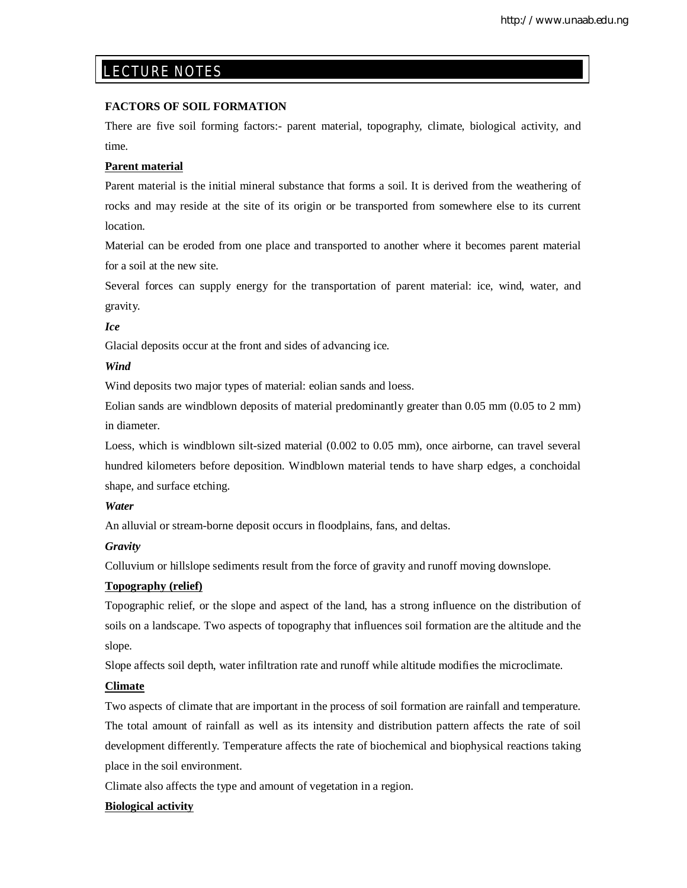# LECTURE NOTES

## **FACTORS OF SOIL FORMATION**

There are five soil forming factors:- parent material, topography, climate, biological activity, and time.

## **Parent material**

E

Parent material is the initial mineral substance that forms a soil. It is derived from the weathering of rocks and may reside at the site of its origin or be transported from somewhere else to its current location.

Material can be eroded from one place and transported to another where it becomes parent material for a soil at the new site.

Several forces can supply energy for the transportation of parent material: ice, wind, water, and gravity.

## *Ice*

Glacial deposits occur at the front and sides of advancing ice.

## *Wind*

Wind deposits two major types of material: eolian sands and loess.

Eolian sands are windblown deposits of material predominantly greater than 0.05 mm (0.05 to 2 mm) in diameter.

Loess, which is windblown silt-sized material (0.002 to 0.05 mm), once airborne, can travel several hundred kilometers before deposition. Windblown material tends to have sharp edges, a conchoidal shape, and surface etching.

## *Water*

An alluvial or stream-borne deposit occurs in floodplains, fans, and deltas.

## *Gravity*

Colluvium or hillslope sediments result from the force of gravity and runoff moving downslope.

## **Topography (relief)**

Topographic relief, or the slope and aspect of the land, has a strong influence on the distribution of soils on a landscape. Two aspects of topography that influences soil formation are the altitude and the slope.

Slope affects soil depth, water infiltration rate and runoff while altitude modifies the microclimate.

## **Climate**

Two aspects of climate that are important in the process of soil formation are rainfall and temperature. The total amount of rainfall as well as its intensity and distribution pattern affects the rate of soil development differently. Temperature affects the rate of biochemical and biophysical reactions taking place in the soil environment.

Climate also affects the type and amount of vegetation in a region.

## **Biological activity**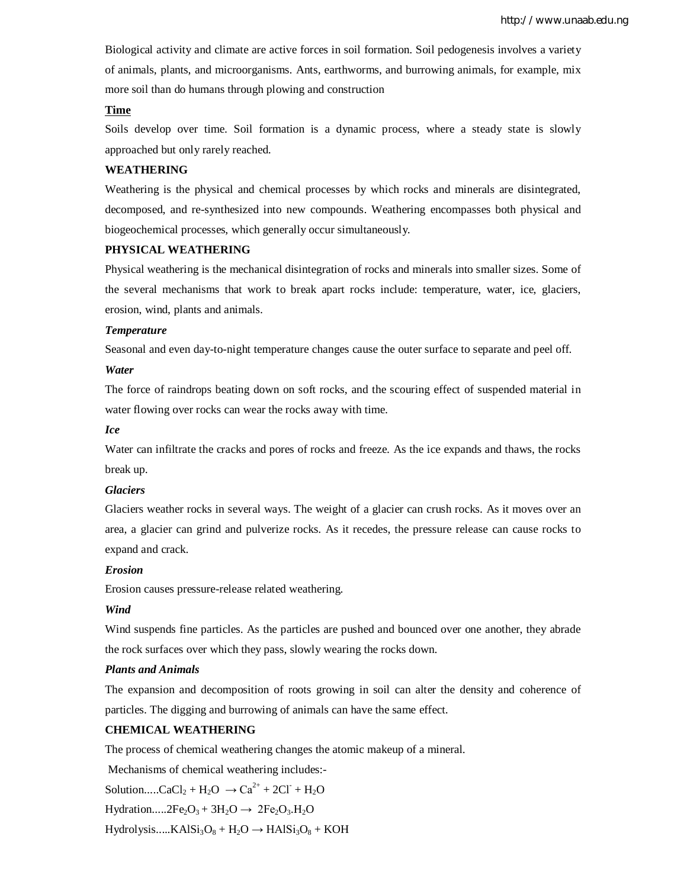Biological activity and climate are active forces in soil formation. Soil pedogenesis involves a variety of animals, plants, and microorganisms. Ants, earthworms, and burrowing animals, for example, mix more soil than do humans through plowing and construction

## **Time**

Soils develop over time. Soil formation is a dynamic process, where a steady state is slowly approached but only rarely reached.

## **WEATHERING**

Weathering is the physical and chemical processes by which rocks and minerals are disintegrated, decomposed, and re-synthesized into new compounds. Weathering encompasses both physical and biogeochemical processes, which generally occur simultaneously.

## **PHYSICAL WEATHERING**

Physical weathering is the mechanical disintegration of rocks and minerals into smaller sizes. Some of the several mechanisms that work to break apart rocks include: temperature, water, ice, glaciers, erosion, wind, plants and animals.

#### *Temperature*

Seasonal and even day-to-night temperature changes cause the outer surface to separate and peel off.

## *Water*

The force of raindrops beating down on soft rocks, and the scouring effect of suspended material in water flowing over rocks can wear the rocks away with time.

### *Ice*

Water can infiltrate the cracks and pores of rocks and freeze. As the ice expands and thaws, the rocks break up.

#### *Glaciers*

Glaciers weather rocks in several ways. The weight of a glacier can crush rocks. As it moves over an area, a glacier can grind and pulverize rocks. As it recedes, the pressure release can cause rocks to expand and crack.

#### *Erosion*

Erosion causes pressure-release related weathering.

## *Wind*

Wind suspends fine particles. As the particles are pushed and bounced over one another, they abrade the rock surfaces over which they pass, slowly wearing the rocks down.

## *Plants and Animals*

The expansion and decomposition of roots growing in soil can alter the density and coherence of particles. The digging and burrowing of animals can have the same effect.

#### **CHEMICAL WEATHERING**

The process of chemical weathering changes the atomic makeup of a mineral.

Mechanisms of chemical weathering includes:-

Solution.....CaCl<sub>2</sub> + H<sub>2</sub>O  $\rightarrow$  Ca<sup>2+</sup> + 2Cl<sup>-</sup> + H<sub>2</sub>O

Hydration.....2Fe<sub>2</sub>O<sub>3</sub> + 3H<sub>2</sub>O  $\rightarrow$  2Fe<sub>2</sub>O<sub>3</sub>.H<sub>2</sub>O

 $Hydrolysis.....KAlSi<sub>3</sub>O<sub>8</sub> + H<sub>2</sub>O \rightarrow HAlSi<sub>3</sub>O<sub>8</sub> + KOH$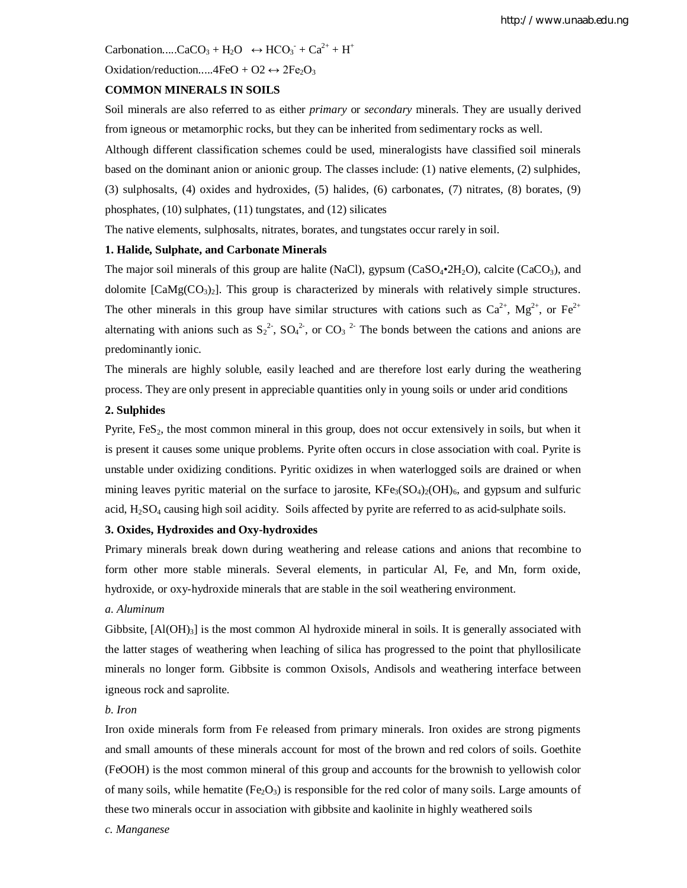Carbonation.....CaCO<sub>3</sub> + H<sub>2</sub>O  $\leftrightarrow$  HCO<sub>3</sub><sup>-</sup> + Ca<sup>2+</sup> + H<sup>+</sup>

Oxidation/reduction.....4FeO + O2  $\leftrightarrow$  2Fe<sub>2</sub>O<sub>3</sub>

## **COMMON MINERALS IN SOILS**

Soil minerals are also referred to as either *primary* or *secondary* minerals. They are usually derived from igneous or metamorphic rocks, but they can be inherited from sedimentary rocks as well.

Although different classification schemes could be used, mineralogists have classified soil minerals based on the dominant anion or anionic group. The classes include: (1) native elements, (2) sulphides, (3) sulphosalts, (4) oxides and hydroxides, (5) halides, (6) carbonates, (7) nitrates, (8) borates, (9) phosphates, (10) sulphates, (11) tungstates, and (12) silicates

The native elements, sulphosalts, nitrates, borates, and tungstates occur rarely in soil.

## **1. Halide, Sulphate, and Carbonate Minerals**

The major soil minerals of this group are halite (NaCl), gypsum ( $CaSO_4\text{-}2H_2O$ ), calcite (CaCO<sub>3</sub>), and dolomite  $[\text{CaMg(CO<sub>3</sub>)<sub>2</sub>].$  This group is characterized by minerals with relatively simple structures. The other minerals in this group have similar structures with cations such as  $Ca^{2+}$ ,  $Mg^{2+}$ , or  $Fe^{2+}$ alternating with anions such as  $S_2^2$ ,  $SO_4^2$ , or  $CO_3^2$ . The bonds between the cations and anions are predominantly ionic.

The minerals are highly soluble, easily leached and are therefore lost early during the weathering process. They are only present in appreciable quantities only in young soils or under arid conditions

## **2. Sulphides**

Pyrite,  $FeS<sub>2</sub>$ , the most common mineral in this group, does not occur extensively in soils, but when it is present it causes some unique problems. Pyrite often occurs in close association with coal. Pyrite is unstable under oxidizing conditions. Pyritic oxidizes in when waterlogged soils are drained or when mining leaves pyritic material on the surface to jarosite,  $KFe<sub>3</sub>(SO<sub>4</sub>)<sub>2</sub>(OH)<sub>6</sub>$ , and gypsum and sulfuric acid, H<sub>2</sub>SO<sub>4</sub> causing high soil acidity. Soils affected by pyrite are referred to as acid-sulphate soils.

## **3. Oxides, Hydroxides and Oxy-hydroxides**

Primary minerals break down during weathering and release cations and anions that recombine to form other more stable minerals. Several elements, in particular Al, Fe, and Mn, form oxide, hydroxide, or oxy-hydroxide minerals that are stable in the soil weathering environment.

## *a. Aluminum*

Gibbsite,  $[A(OH)<sub>3</sub>]$  is the most common Al hydroxide mineral in soils. It is generally associated with the latter stages of weathering when leaching of silica has progressed to the point that phyllosilicate minerals no longer form. Gibbsite is common Oxisols, Andisols and weathering interface between igneous rock and saprolite.

#### *b. Iron*

Iron oxide minerals form from Fe released from primary minerals. Iron oxides are strong pigments and small amounts of these minerals account for most of the brown and red colors of soils. Goethite (FeOOH) is the most common mineral of this group and accounts for the brownish to yellowish color of many soils, while hematite  $(Fe<sub>2</sub>O<sub>3</sub>)$  is responsible for the red color of many soils. Large amounts of these two minerals occur in association with gibbsite and kaolinite in highly weathered soils

*c. Manganese*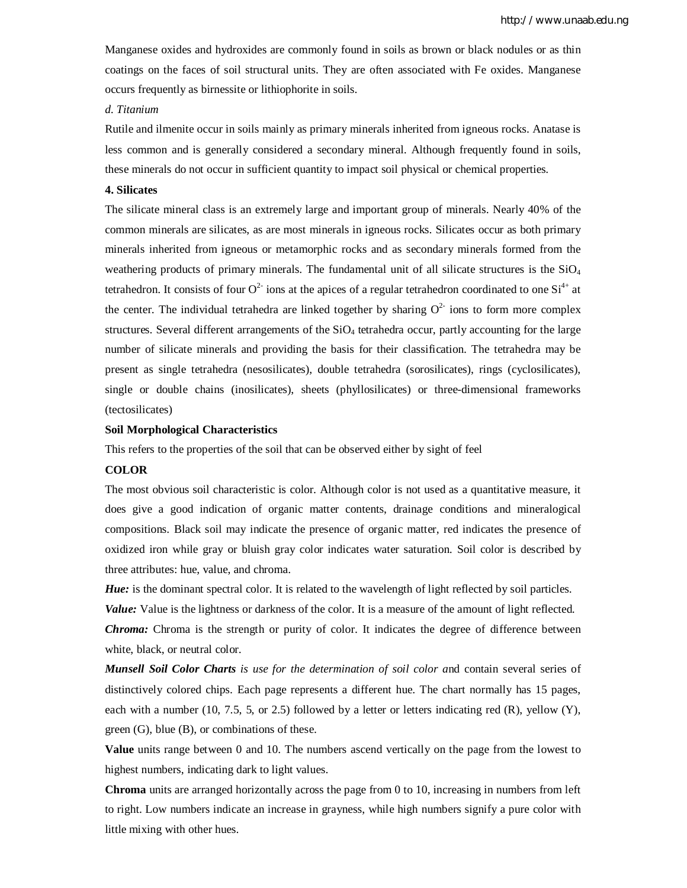Manganese oxides and hydroxides are commonly found in soils as brown or black nodules or as thin coatings on the faces of soil structural units. They are often associated with Fe oxides. Manganese occurs frequently as birnessite or lithiophorite in soils.

## *d. Titanium*

Rutile and ilmenite occur in soils mainly as primary minerals inherited from igneous rocks. Anatase is less common and is generally considered a secondary mineral. Although frequently found in soils, these minerals do not occur in sufficient quantity to impact soil physical or chemical properties.

#### **4. Silicates**

The silicate mineral class is an extremely large and important group of minerals. Nearly 40% of the common minerals are silicates, as are most minerals in igneous rocks. Silicates occur as both primary minerals inherited from igneous or metamorphic rocks and as secondary minerals formed from the weathering products of primary minerals. The fundamental unit of all silicate structures is the  $SiO<sub>4</sub>$ tetrahedron. It consists of four  $O^2$  ions at the apices of a regular tetrahedron coordinated to one  $Si^{4+}$  at the center. The individual tetrahedra are linked together by sharing  $O<sup>2</sup>$  ions to form more complex structures. Several different arrangements of the  $SiO<sub>4</sub>$  tetrahedra occur, partly accounting for the large number of silicate minerals and providing the basis for their classification. The tetrahedra may be present as single tetrahedra (nesosilicates), double tetrahedra (sorosilicates), rings (cyclosilicates), single or double chains (inosilicates), sheets (phyllosilicates) or three-dimensional frameworks (tectosilicates)

#### **Soil Morphological Characteristics**

This refers to the properties of the soil that can be observed either by sight of feel

#### **COLOR**

The most obvious soil characteristic is color. Although color is not used as a quantitative measure, it does give a good indication of organic matter contents, drainage conditions and mineralogical compositions. Black soil may indicate the presence of organic matter, red indicates the presence of oxidized iron while gray or bluish gray color indicates water saturation. Soil color is described by three attributes: hue, value, and chroma.

*Hue:* is the dominant spectral color. It is related to the wavelength of light reflected by soil particles.

*Value:* Value is the lightness or darkness of the color. It is a measure of the amount of light reflected.

*Chroma:* Chroma is the strength or purity of color. It indicates the degree of difference between white, black, or neutral color.

*Munsell Soil Color Charts is use for the determination of soil color a*nd contain several series of distinctively colored chips. Each page represents a different hue. The chart normally has 15 pages, each with a number (10, 7.5, 5, or 2.5) followed by a letter or letters indicating red  $(R)$ , yellow  $(Y)$ , green (G), blue (B), or combinations of these.

**Value** units range between 0 and 10. The numbers ascend vertically on the page from the lowest to highest numbers, indicating dark to light values.

**Chroma** units are arranged horizontally across the page from 0 to 10, increasing in numbers from left to right. Low numbers indicate an increase in grayness, while high numbers signify a pure color with little mixing with other hues.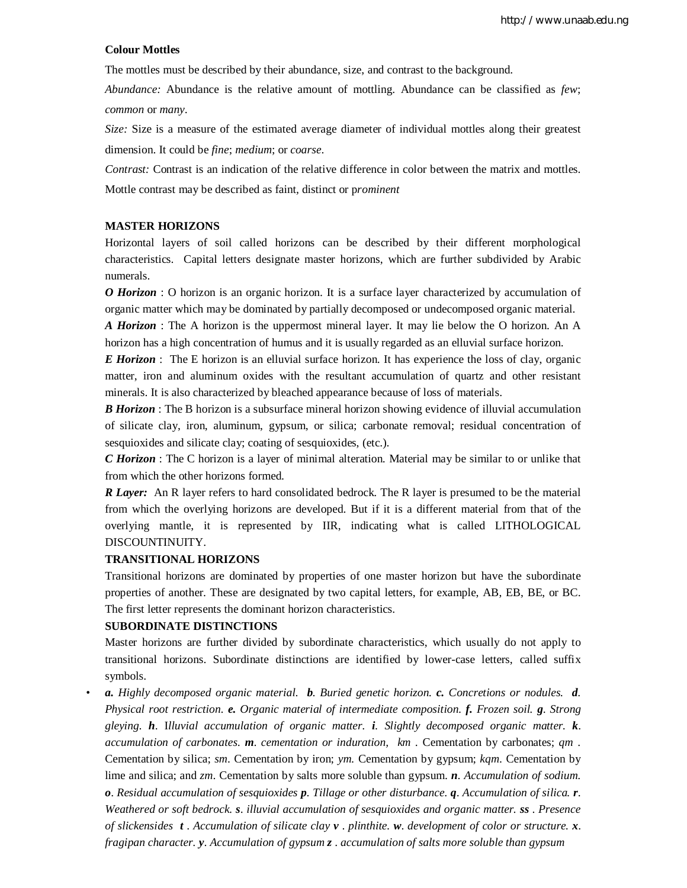#### **Colour Mottles**

The mottles must be described by their abundance, size, and contrast to the background.

*Abundance:* Abundance is the relative amount of mottling. Abundance can be classified as *few*; *common* or *many*.

*Size:* Size is a measure of the estimated average diameter of individual mottles along their greatest dimension. It could be *fine*; *medium*; or *coarse*.

*Contrast:* Contrast is an indication of the relative difference in color between the matrix and mottles. Mottle contrast may be described as faint*,* distinct or p*rominent*

## **MASTER HORIZONS**

Horizontal layers of soil called horizons can be described by their different morphological characteristics. Capital letters designate master horizons, which are further subdivided by Arabic numerals.

*O Horizon* : O horizon is an organic horizon. It is a surface layer characterized by accumulation of organic matter which may be dominated by partially decomposed or undecomposed organic material.

*A Horizon* : The A horizon is the uppermost mineral layer. It may lie below the O horizon. An A horizon has a high concentration of humus and it is usually regarded as an elluvial surface horizon.

*E Horizon* : The E horizon is an elluvial surface horizon. It has experience the loss of clay, organic matter, iron and aluminum oxides with the resultant accumulation of quartz and other resistant minerals. It is also characterized by bleached appearance because of loss of materials.

*B Horizon* : The B horizon is a subsurface mineral horizon showing evidence of illuvial accumulation of silicate clay, iron, aluminum, gypsum, or silica; carbonate removal; residual concentration of sesquioxides and silicate clay; coating of sesquioxides, (etc.).

*C Horizon* : The C horizon is a layer of minimal alteration. Material may be similar to or unlike that from which the other horizons formed.

*R Layer:* An R layer refers to hard consolidated bedrock. The R layer is presumed to be the material from which the overlying horizons are developed. But if it is a different material from that of the overlying mantle, it is represented by IIR, indicating what is called LITHOLOGICAL DISCOUNTINUITY.

#### **TRANSITIONAL HORIZONS**

Transitional horizons are dominated by properties of one master horizon but have the subordinate properties of another. These are designated by two capital letters, for example, AB, EB, BE, or BC. The first letter represents the dominant horizon characteristics.

## **SUBORDINATE DISTINCTIONS**

Master horizons are further divided by subordinate characteristics, which usually do not apply to transitional horizons. Subordinate distinctions are identified by lower-case letters, called suffix symbols.

• *a. Highly decomposed organic material. b. Buried genetic horizon. c. Concretions or nodules. d. Physical root restriction. e. Organic material of intermediate composition. f. Frozen soil. g*. *Strong gleying. h*. I*lluvial accumulation of organic matter. i*. *Slightly decomposed organic matter. k*. *accumulation of carbonates. m*. *cementation or induration, km* . Cementation by carbonates; *qm* . Cementation by silica; *sm*. Cementation by iron; *ym.* Cementation by gypsum; *kqm*. Cementation by lime and silica; and *zm*. Cementation by salts more soluble than gypsum. *n*. *Accumulation of sodium. o*. *Residual accumulation of sesquioxides p*. *Tillage or other disturbance. q*. *Accumulation of silica. r*. *Weathered or soft bedrock. s*. *illuvial accumulation of sesquioxides and organic matter. ss* . *Presence of slickensides t* . *Accumulation of silicate clay v* . *plinthite. w*. *development of color or structure. x*. *fragipan character. y*. *Accumulation of gypsum z* . *accumulation of salts more soluble than gypsum*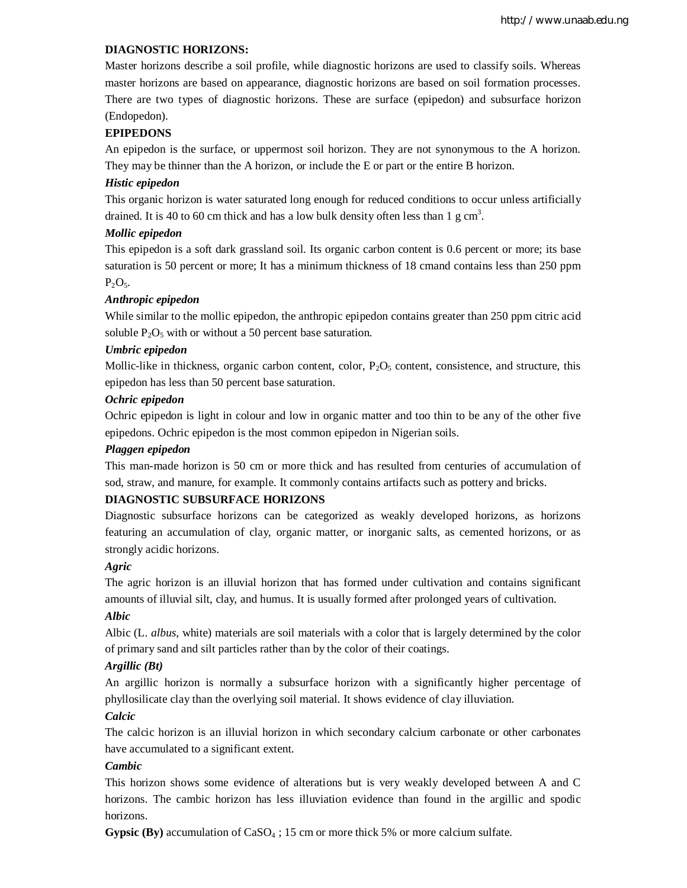## **DIAGNOSTIC HORIZONS:**

Master horizons describe a soil profile, while diagnostic horizons are used to classify soils. Whereas master horizons are based on appearance, diagnostic horizons are based on soil formation processes. There are two types of diagnostic horizons. These are surface (epipedon) and subsurface horizon (Endopedon).

## **EPIPEDONS**

An epipedon is the surface, or uppermost soil horizon. They are not synonymous to the A horizon. They may be thinner than the A horizon, or include the E or part or the entire B horizon.

#### *Histic epipedon*

This organic horizon is water saturated long enough for reduced conditions to occur unless artificially drained. It is 40 to 60 cm thick and has a low bulk density often less than 1  $\text{g cm}^3$ .

#### *Mollic epipedon*

This epipedon is a soft dark grassland soil. Its organic carbon content is 0.6 percent or more; its base saturation is 50 percent or more; It has a minimum thickness of 18 cmand contains less than 250 ppm  $P_2O_5.$ 

#### *Anthropic epipedon*

While similar to the mollic epipedon, the anthropic epipedon contains greater than 250 ppm citric acid soluble  $P_2O_5$  with or without a 50 percent base saturation.

#### *Umbric epipedon*

Mollic-like in thickness, organic carbon content, color,  $P_2O_5$  content, consistence, and structure, this epipedon has less than 50 percent base saturation.

## *Ochric epipedon*

Ochric epipedon is light in colour and low in organic matter and too thin to be any of the other five epipedons. Ochric epipedon is the most common epipedon in Nigerian soils.

## *Plaggen epipedon*

This man-made horizon is 50 cm or more thick and has resulted from centuries of accumulation of sod, straw, and manure, for example. It commonly contains artifacts such as pottery and bricks.

## **DIAGNOSTIC SUBSURFACE HORIZONS**

Diagnostic subsurface horizons can be categorized as weakly developed horizons, as horizons featuring an accumulation of clay, organic matter, or inorganic salts, as cemented horizons, or as strongly acidic horizons.

#### *Agric*

The agric horizon is an illuvial horizon that has formed under cultivation and contains significant amounts of illuvial silt, clay, and humus. It is usually formed after prolonged years of cultivation.

## *Albic*

Albic (L. *albus*, white) materials are soil materials with a color that is largely determined by the color of primary sand and silt particles rather than by the color of their coatings.

## *Argillic (Bt)*

An argillic horizon is normally a subsurface horizon with a significantly higher percentage of phyllosilicate clay than the overlying soil material. It shows evidence of clay illuviation.

## *Calcic*

The calcic horizon is an illuvial horizon in which secondary calcium carbonate or other carbonates have accumulated to a significant extent.

## *Cambic*

This horizon shows some evidence of alterations but is very weakly developed between A and C horizons. The cambic horizon has less illuviation evidence than found in the argillic and spodic horizons.

**Gypsic (By)** accumulation of CaSO<sup>4</sup> ; 15 cm or more thick 5% or more calcium sulfate.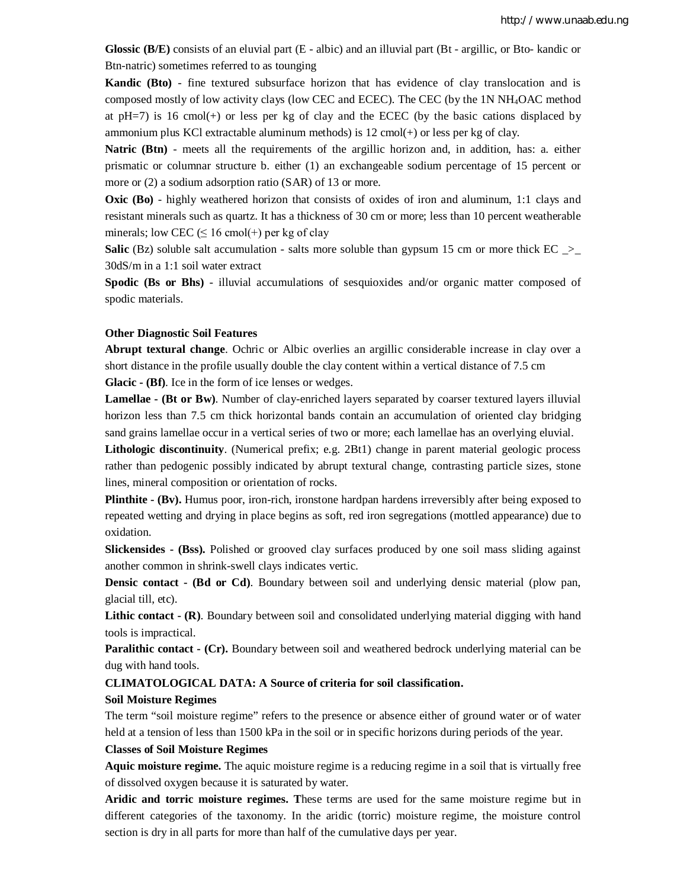**Glossic (B/E)** consists of an eluvial part (E - albic) and an illuvial part (Bt - argillic, or Bto- kandic or Btn-natric) sometimes referred to as tounging

**Kandic (Bto)** - fine textured subsurface horizon that has evidence of clay translocation and is composed mostly of low activity clays (low CEC and ECEC). The CEC (by the 1N NH4OAC method at  $pH=7$ ) is 16 cmol(+) or less per kg of clay and the ECEC (by the basic cations displaced by ammonium plus KCl extractable aluminum methods) is 12 cmol(+) or less per kg of clay.

**Natric (Btn)** - meets all the requirements of the argillic horizon and, in addition, has: a. either prismatic or columnar structure b. either (1) an exchangeable sodium percentage of 15 percent or more or (2) a sodium adsorption ratio (SAR) of 13 or more.

**Oxic (Bo)** - highly weathered horizon that consists of oxides of iron and aluminum, 1:1 clays and resistant minerals such as quartz. It has a thickness of 30 cm or more; less than 10 percent weatherable minerals; low CEC  $( \leq 16 \text{ cmol}(+)$  per kg of clay

Salic (Bz) soluble salt accumulation - salts more soluble than gypsum 15 cm or more thick EC \_>\_ 30dS/m in a 1:1 soil water extract

**Spodic (Bs or Bhs)** - illuvial accumulations of sesquioxides and/or organic matter composed of spodic materials.

## **Other Diagnostic Soil Features**

**Abrupt textural change**. Ochric or Albic overlies an argillic considerable increase in clay over a short distance in the profile usually double the clay content within a vertical distance of 7.5 cm **Glacic - (Bf)**. Ice in the form of ice lenses or wedges.

**Lamellae - (Bt or Bw)**. Number of clay-enriched layers separated by coarser textured layers illuvial horizon less than 7.5 cm thick horizontal bands contain an accumulation of oriented clay bridging sand grains lamellae occur in a vertical series of two or more; each lamellae has an overlying eluvial.

**Lithologic discontinuity**. (Numerical prefix; e.g. 2Bt1) change in parent material geologic process rather than pedogenic possibly indicated by abrupt textural change, contrasting particle sizes, stone lines, mineral composition or orientation of rocks.

**Plinthite - (Bv).** Humus poor, iron-rich, ironstone hardpan hardens irreversibly after being exposed to repeated wetting and drying in place begins as soft, red iron segregations (mottled appearance) due to oxidation.

**Slickensides - (Bss).** Polished or grooved clay surfaces produced by one soil mass sliding against another common in shrink-swell clays indicates vertic.

**Densic contact - (Bd or Cd)**. Boundary between soil and underlying densic material (plow pan, glacial till, etc).

**Lithic contact - (R)**. Boundary between soil and consolidated underlying material digging with hand tools is impractical.

**Paralithic contact - (Cr).** Boundary between soil and weathered bedrock underlying material can be dug with hand tools.

**CLIMATOLOGICAL DATA: A Source of criteria for soil classification.**

#### **Soil Moisture Regimes**

The term "soil moisture regime" refers to the presence or absence either of ground water or of water held at a tension of less than 1500 kPa in the soil or in specific horizons during periods of the year.

#### **Classes of Soil Moisture Regimes**

**Aquic moisture regime.** The aquic moisture regime is a reducing regime in a soil that is virtually free of dissolved oxygen because it is saturated by water.

**Aridic and torric moisture regimes. T**hese terms are used for the same moisture regime but in different categories of the taxonomy. In the aridic (torric) moisture regime, the moisture control section is dry in all parts for more than half of the cumulative days per year.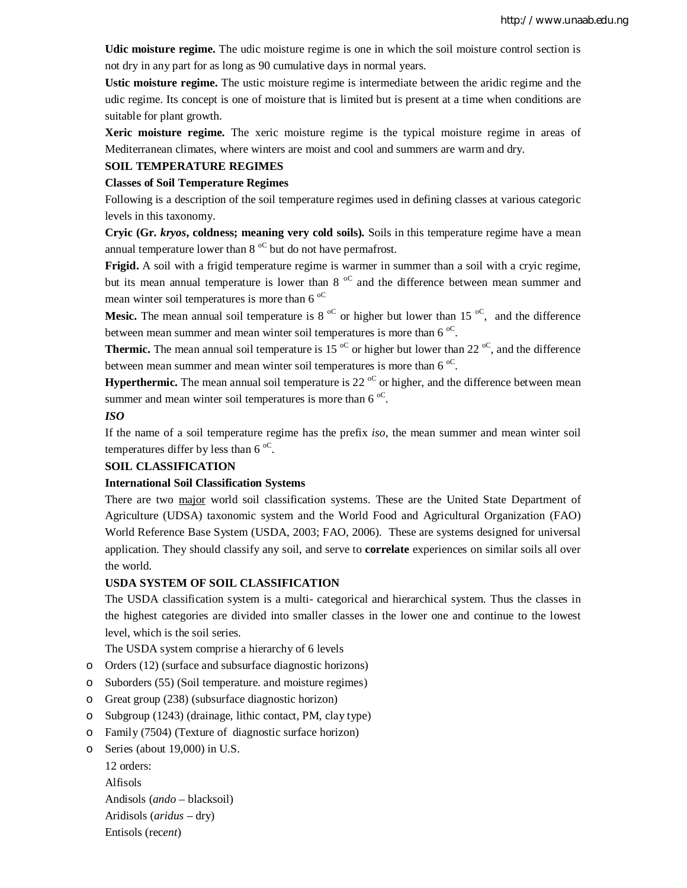**Udic moisture regime.** The udic moisture regime is one in which the soil moisture control section is not dry in any part for as long as 90 cumulative days in normal years.

**Ustic moisture regime.** The ustic moisture regime is intermediate between the aridic regime and the udic regime. Its concept is one of moisture that is limited but is present at a time when conditions are suitable for plant growth.

**Xeric moisture regime.** The xeric moisture regime is the typical moisture regime in areas of Mediterranean climates, where winters are moist and cool and summers are warm and dry.

## **SOIL TEMPERATURE REGIMES**

#### **Classes of Soil Temperature Regimes**

Following is a description of the soil temperature regimes used in defining classes at various categoric levels in this taxonomy.

**Cryic (Gr.** *kryos***, coldness; meaning very cold soils).** Soils in this temperature regime have a mean annual temperature lower than  $8^{\circ}$  but do not have permafrost.

**Frigid.** A soil with a frigid temperature regime is warmer in summer than a soil with a cryic regime, but its mean annual temperature is lower than  $8<sup>o</sup>C$  and the difference between mean summer and mean winter soil temperatures is more than 6 $\mathrm{^{oc}}$ 

**Mesic.** The mean annual soil temperature is 8<sup>oC</sup> or higher but lower than 15<sup>oC</sup>, and the difference between mean summer and mean winter soil temperatures is more than 6 $\mathrm{^{oc}}$ .

**Thermic.** The mean annual soil temperature is 15  $\degree$  or higher but lower than 22  $\degree$ , and the difference between mean summer and mean winter soil temperatures is more than  $6^{\circ}$ .

**Hyperthermic.** The mean annual soil temperature is 22  $\text{°C}$  or higher, and the difference between mean summer and mean winter soil temperatures is more than  $6^{\circ}$ .

## *ISO*

If the name of a soil temperature regime has the prefix *iso*, the mean summer and mean winter soil temperatures differ by less than 6 $\rm ^{oc}$ .

## **SOIL CLASSIFICATION**

## **International Soil Classification Systems**

There are two major world soil classification systems. These are the United State Department of Agriculture (UDSA) taxonomic system and the World Food and Agricultural Organization (FAO) World Reference Base System (USDA, 2003; FAO, 2006). These are systems designed for universal application. They should classify any soil, and serve to **correlate** experiences on similar soils all over the world.

## **USDA SYSTEM OF SOIL CLASSIFICATION**

The USDA classification system is a multi- categorical and hierarchical system. Thus the classes in the highest categories are divided into smaller classes in the lower one and continue to the lowest level, which is the soil series.

The USDA system comprise a hierarchy of 6 levels

- o Orders (12) (surface and subsurface diagnostic horizons)
- o Suborders (55) (Soil temperature. and moisture regimes)
- o Great group (238) (subsurface diagnostic horizon)
- o Subgroup (1243) (drainage, lithic contact, PM, clay type)
- o Family (7504) (Texture of diagnostic surface horizon)
- o Series (about 19,000) in U.S.

12 orders: Alfisols Andisols (*ando* – blacksoil) Aridisols (*aridus* – dry) Entisols (rec*ent*)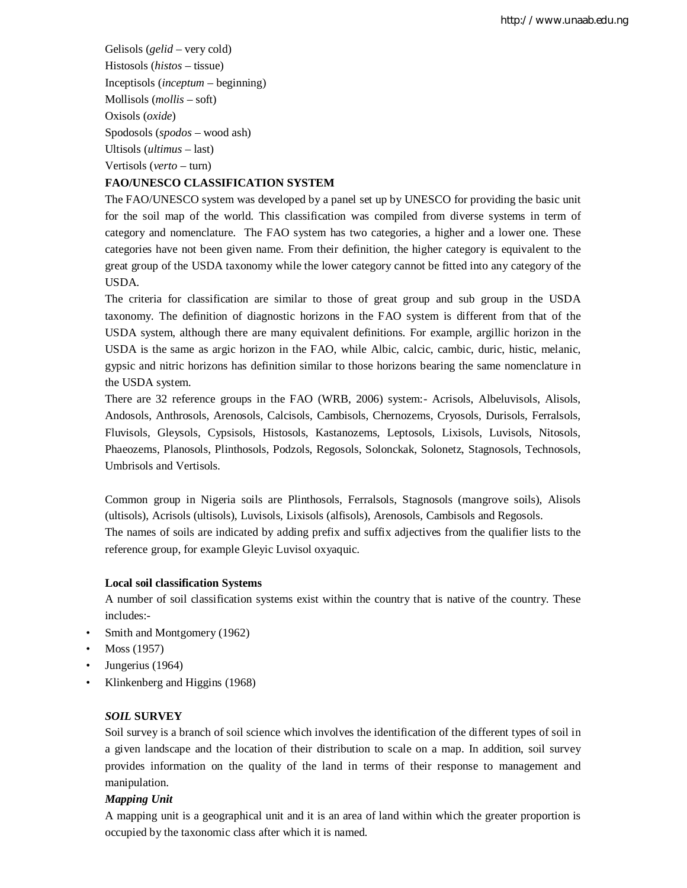Gelisols (*gelid* – very cold) Histosols (*histos* – tissue) Inceptisols (*inceptum* – beginning) Mollisols (*mollis* – soft) Oxisols (*oxide*) Spodosols (*spodos* – wood ash) Ultisols (*ultimus* – last) Vertisols (*verto* – turn)

## **FAO/UNESCO CLASSIFICATION SYSTEM**

The FAO/UNESCO system was developed by a panel set up by UNESCO for providing the basic unit for the soil map of the world. This classification was compiled from diverse systems in term of category and nomenclature. The FAO system has two categories, a higher and a lower one. These categories have not been given name. From their definition, the higher category is equivalent to the great group of the USDA taxonomy while the lower category cannot be fitted into any category of the USDA.

The criteria for classification are similar to those of great group and sub group in the USDA taxonomy. The definition of diagnostic horizons in the FAO system is different from that of the USDA system, although there are many equivalent definitions. For example, argillic horizon in the USDA is the same as argic horizon in the FAO, while Albic, calcic, cambic, duric, histic, melanic, gypsic and nitric horizons has definition similar to those horizons bearing the same nomenclature in the USDA system.

There are 32 reference groups in the FAO (WRB, 2006) system:- Acrisols, Albeluvisols, Alisols, Andosols, Anthrosols, Arenosols, Calcisols, Cambisols, Chernozems, Cryosols, Durisols, Ferralsols, Fluvisols, Gleysols, Cypsisols, Histosols, Kastanozems, Leptosols, Lixisols, Luvisols, Nitosols, Phaeozems, Planosols, Plinthosols, Podzols, Regosols, Solonckak, Solonetz, Stagnosols, Technosols, Umbrisols and Vertisols.

Common group in Nigeria soils are Plinthosols, Ferralsols, Stagnosols (mangrove soils), Alisols (ultisols), Acrisols (ultisols), Luvisols, Lixisols (alfisols), Arenosols, Cambisols and Regosols. The names of soils are indicated by adding prefix and suffix adjectives from the qualifier lists to the reference group, for example Gleyic Luvisol oxyaquic.

## **Local soil classification Systems**

A number of soil classification systems exist within the country that is native of the country. These includes:-

- Smith and Montgomery (1962)
- Moss (1957)
- Jungerius (1964)
- Klinkenberg and Higgins (1968)

## *SOIL* **SURVEY**

Soil survey is a branch of soil science which involves the identification of the different types of soil in a given landscape and the location of their distribution to scale on a map. In addition, soil survey provides information on the quality of the land in terms of their response to management and manipulation.

#### *Mapping Unit*

A mapping unit is a geographical unit and it is an area of land within which the greater proportion is occupied by the taxonomic class after which it is named.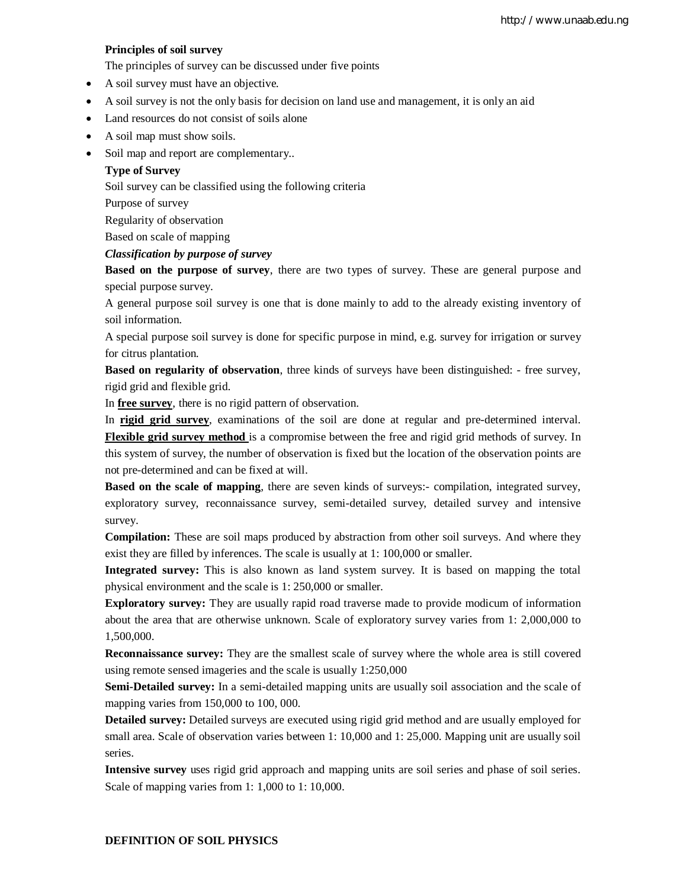## **Principles of soil survey**

The principles of survey can be discussed under five points

- A soil survey must have an objective.
- A soil survey is not the only basis for decision on land use and management, it is only an aid
- Land resources do not consist of soils alone
- A soil map must show soils.
- Soil map and report are complementary..

## **Type of Survey**

Soil survey can be classified using the following criteria

Purpose of survey

Regularity of observation

Based on scale of mapping

#### *Classification by purpose of survey*

**Based on the purpose of survey**, there are two types of survey. These are general purpose and special purpose survey.

A general purpose soil survey is one that is done mainly to add to the already existing inventory of soil information.

A special purpose soil survey is done for specific purpose in mind, e.g. survey for irrigation or survey for citrus plantation.

**Based on regularity of observation**, three kinds of surveys have been distinguished: - free survey, rigid grid and flexible grid.

In **free survey**, there is no rigid pattern of observation.

In **rigid grid survey**, examinations of the soil are done at regular and pre-determined interval. **Flexible grid survey method** is a compromise between the free and rigid grid methods of survey. In this system of survey, the number of observation is fixed but the location of the observation points are not pre-determined and can be fixed at will.

**Based on the scale of mapping**, there are seven kinds of surveys:- compilation, integrated survey, exploratory survey, reconnaissance survey, semi-detailed survey, detailed survey and intensive survey.

**Compilation:** These are soil maps produced by abstraction from other soil surveys. And where they exist they are filled by inferences. The scale is usually at 1: 100,000 or smaller.

**Integrated survey:** This is also known as land system survey. It is based on mapping the total physical environment and the scale is 1: 250,000 or smaller.

**Exploratory survey:** They are usually rapid road traverse made to provide modicum of information about the area that are otherwise unknown. Scale of exploratory survey varies from 1: 2,000,000 to 1,500,000.

**Reconnaissance survey:** They are the smallest scale of survey where the whole area is still covered using remote sensed imageries and the scale is usually 1:250,000

**Semi-Detailed survey:** In a semi-detailed mapping units are usually soil association and the scale of mapping varies from 150,000 to 100, 000.

**Detailed survey:** Detailed surveys are executed using rigid grid method and are usually employed for small area. Scale of observation varies between 1: 10,000 and 1: 25,000. Mapping unit are usually soil series.

**Intensive survey** uses rigid grid approach and mapping units are soil series and phase of soil series. Scale of mapping varies from 1: 1,000 to 1: 10,000.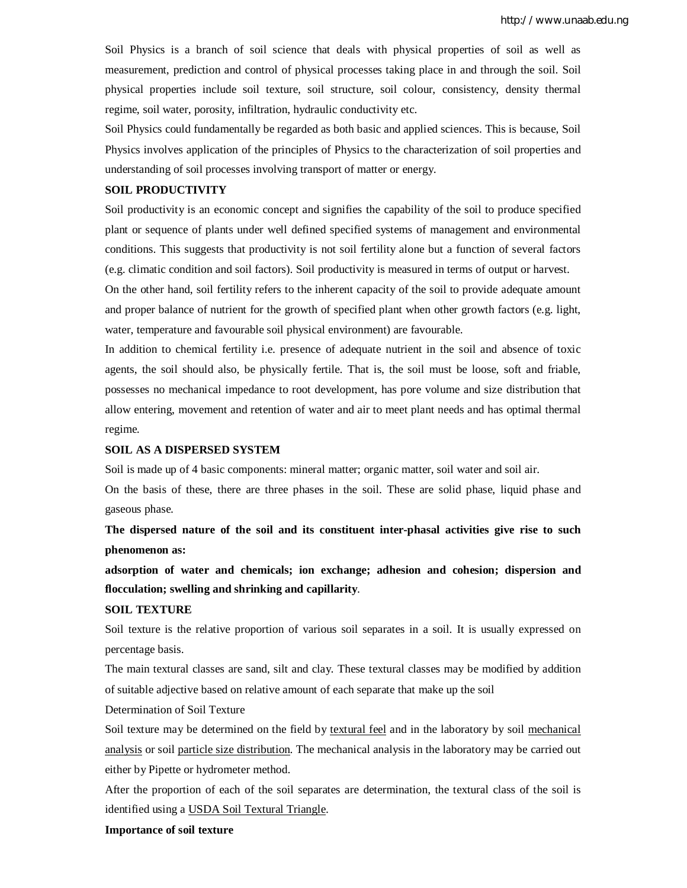Soil Physics is a branch of soil science that deals with physical properties of soil as well as measurement, prediction and control of physical processes taking place in and through the soil. Soil physical properties include soil texture, soil structure, soil colour, consistency, density thermal regime, soil water, porosity, infiltration, hydraulic conductivity etc.

Soil Physics could fundamentally be regarded as both basic and applied sciences. This is because, Soil Physics involves application of the principles of Physics to the characterization of soil properties and understanding of soil processes involving transport of matter or energy.

#### **SOIL PRODUCTIVITY**

Soil productivity is an economic concept and signifies the capability of the soil to produce specified plant or sequence of plants under well defined specified systems of management and environmental conditions. This suggests that productivity is not soil fertility alone but a function of several factors (e.g. climatic condition and soil factors). Soil productivity is measured in terms of output or harvest.

On the other hand, soil fertility refers to the inherent capacity of the soil to provide adequate amount and proper balance of nutrient for the growth of specified plant when other growth factors (e.g. light, water, temperature and favourable soil physical environment) are favourable.

In addition to chemical fertility i.e. presence of adequate nutrient in the soil and absence of toxic agents, the soil should also, be physically fertile. That is, the soil must be loose, soft and friable, possesses no mechanical impedance to root development, has pore volume and size distribution that allow entering, movement and retention of water and air to meet plant needs and has optimal thermal regime.

## **SOIL AS A DISPERSED SYSTEM**

Soil is made up of 4 basic components: mineral matter; organic matter, soil water and soil air.

On the basis of these, there are three phases in the soil. These are solid phase, liquid phase and gaseous phase.

**The dispersed nature of the soil and its constituent inter-phasal activities give rise to such phenomenon as:** 

**adsorption of water and chemicals; ion exchange; adhesion and cohesion; dispersion and flocculation; swelling and shrinking and capillarity**.

## **SOIL TEXTURE**

Soil texture is the relative proportion of various soil separates in a soil. It is usually expressed on percentage basis.

The main textural classes are sand, silt and clay. These textural classes may be modified by addition of suitable adjective based on relative amount of each separate that make up the soil

Determination of Soil Texture

Soil texture may be determined on the field by textural feel and in the laboratory by soil mechanical analysis or soil particle size distribution. The mechanical analysis in the laboratory may be carried out either by Pipette or hydrometer method.

After the proportion of each of the soil separates are determination, the textural class of the soil is identified using a USDA Soil Textural Triangle.

#### **Importance of soil texture**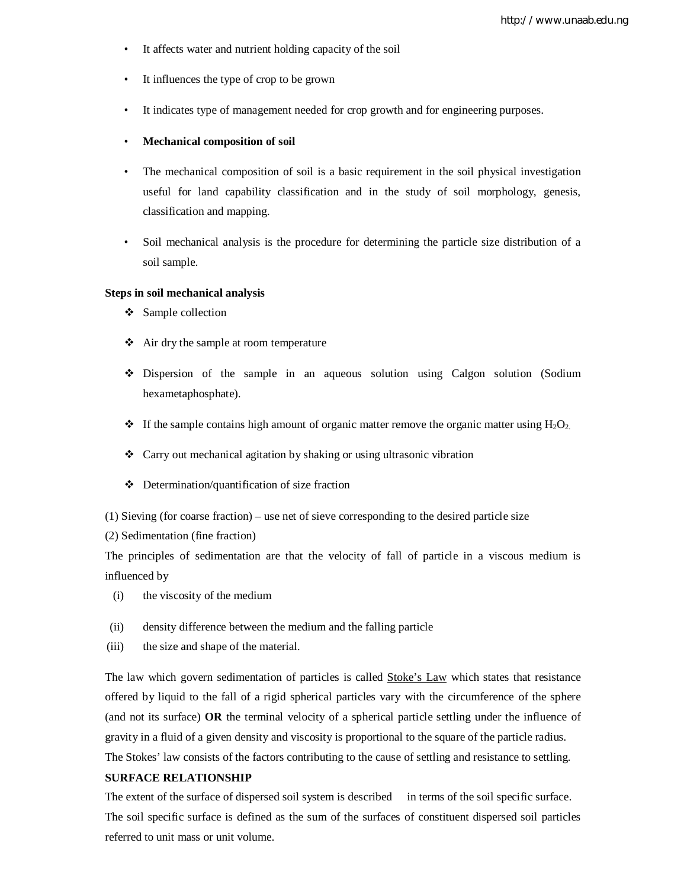- It affects water and nutrient holding capacity of the soil
- It influences the type of crop to be grown
- It indicates type of management needed for crop growth and for engineering purposes.
- **Mechanical composition of soil**
- The mechanical composition of soil is a basic requirement in the soil physical investigation useful for land capability classification and in the study of soil morphology, genesis, classification and mapping.
- Soil mechanical analysis is the procedure for determining the particle size distribution of a soil sample.

#### **Steps in soil mechanical analysis**

- ❖ Sample collection
- Air dry the sample at room temperature
- Dispersion of the sample in an aqueous solution using Calgon solution (Sodium hexametaphosphate).
- $\cdot \cdot$  If the sample contains high amount of organic matter remove the organic matter using  $H_2O_2$ .
- Carry out mechanical agitation by shaking or using ultrasonic vibration
- $\triangle$  Determination/quantification of size fraction
- (1) Sieving (for coarse fraction) use net of sieve corresponding to the desired particle size
- (2) Sedimentation (fine fraction)

The principles of sedimentation are that the velocity of fall of particle in a viscous medium is influenced by

- (i) the viscosity of the medium
- (ii) density difference between the medium and the falling particle
- (iii) the size and shape of the material.

The law which govern sedimentation of particles is called **Stoke's Law** which states that resistance offered by liquid to the fall of a rigid spherical particles vary with the circumference of the sphere (and not its surface) **OR** the terminal velocity of a spherical particle settling under the influence of gravity in a fluid of a given density and viscosity is proportional to the square of the particle radius. The Stokes' law consists of the factors contributing to the cause of settling and resistance to settling.

## **SURFACE RELATIONSHIP**

The extent of the surface of dispersed soil system is described in terms of the soil specific surface. The soil specific surface is defined as the sum of the surfaces of constituent dispersed soil particles referred to unit mass or unit volume.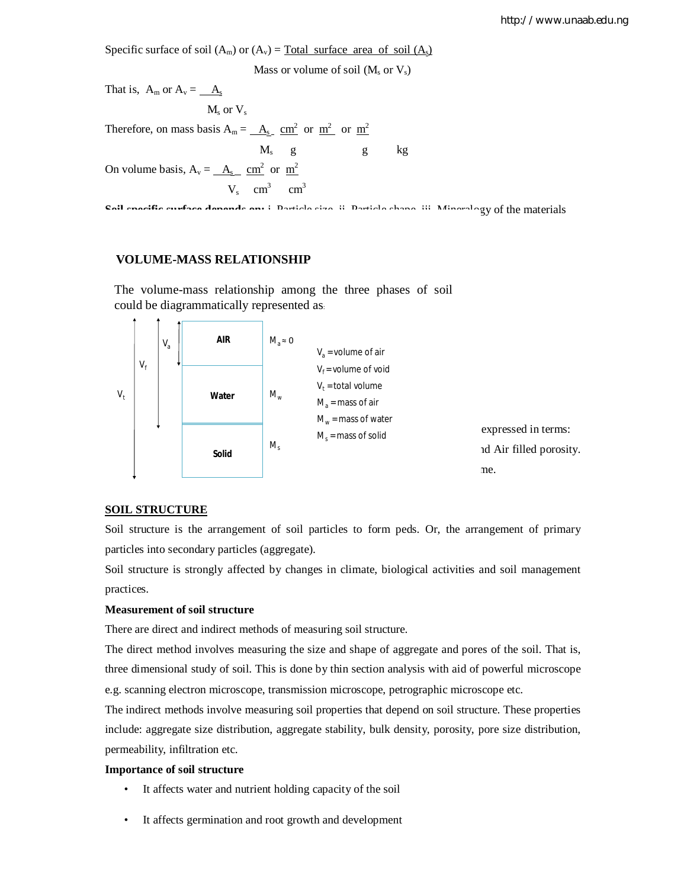Specific surface of soil  $(A_m)$  or  $(A_v)$  = Total surface area of soil  $(A_s)$ 

Mass or volume of soil  $(M_s$  or  $V_s)$ 

That is,  $A_m$  or  $A_v = -A_s$  $M_s$  or  $V_s$ Therefore, on mass basis  $A_m = \underline{A_s} \underline{cm^2}$  or  $\underline{m^2}$  or  $\underline{m^2}$  $M_s$  g kg On volume basis,  $A_v = \underline{A_s} \underline{cm^2}$  or  $\underline{m}^2$  $V_s$  cm<sup>3</sup> cm<sup>3</sup>

**Soil specific surface depends on:** i. Particle size ii. Particle shape iii. Mineralogy of the materials

## **VOLUME-MASS RELATIONSHIP**

The volume-mass relationship among the three phases of soil could be diagrammatically represented as:



## **SOIL STRUCTURE**

Soil structure is the arrangement of soil particles to form peds. Or, the arrangement of primary particles into secondary particles (aggregate).

Soil structure is strongly affected by changes in climate, biological activities and soil management practices.

## **Measurement of soil structure**

There are direct and indirect methods of measuring soil structure.

The direct method involves measuring the size and shape of aggregate and pores of the soil. That is, three dimensional study of soil. This is done by thin section analysis with aid of powerful microscope e.g. scanning electron microscope, transmission microscope, petrographic microscope etc.

The indirect methods involve measuring soil properties that depend on soil structure. These properties include: aggregate size distribution, aggregate stability, bulk density, porosity, pore size distribution, permeability, infiltration etc.

## **Importance of soil structure**

- It affects water and nutrient holding capacity of the soil
- It affects germination and root growth and development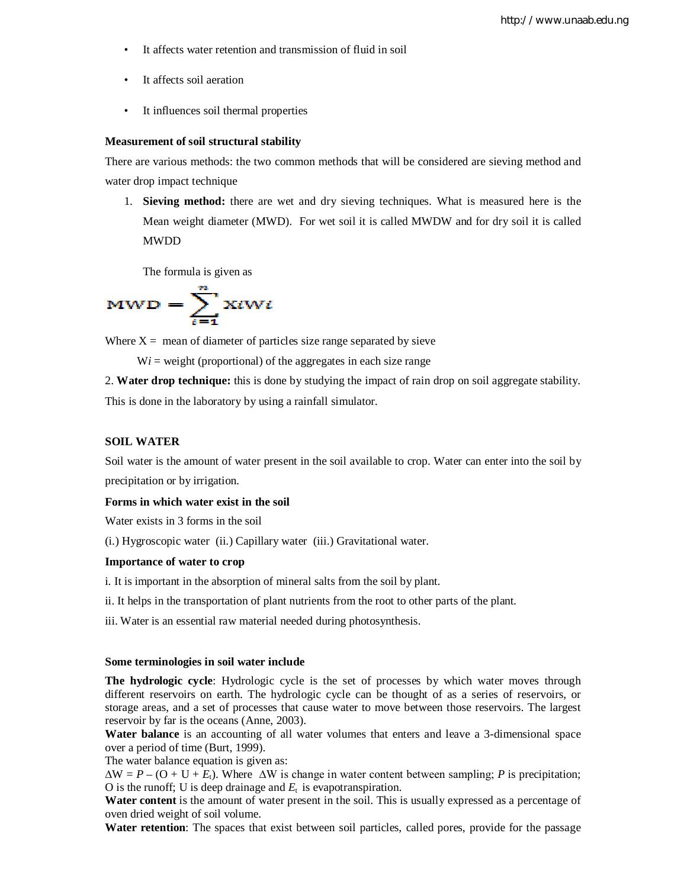- It affects water retention and transmission of fluid in soil
- It affects soil aeration
- It influences soil thermal properties

#### **Measurement of soil structural stability**

There are various methods: the two common methods that will be considered are sieving method and water drop impact technique

1. **Sieving method:** there are wet and dry sieving techniques. What is measured here is the Mean weight diameter (MWD). For wet soil it is called MWDW and for dry soil it is called MWDD

The formula is given as

$$
MWD = \sum_{i=1}^{n} XtWt
$$

Where  $X =$  mean of diameter of particles size range separated by sieve

 $Wi = weight (proportional)$  of the aggregates in each size range

2. **Water drop technique:** this is done by studying the impact of rain drop on soil aggregate stability. This is done in the laboratory by using a rainfall simulator.

#### **SOIL WATER**

Soil water is the amount of water present in the soil available to crop. Water can enter into the soil by precipitation or by irrigation.

## **Forms in which water exist in the soil**

Water exists in 3 forms in the soil

(i.) Hygroscopic water (ii.) Capillary water (iii.) Gravitational water.

## **Importance of water to crop**

i. It is important in the absorption of mineral salts from the soil by plant.

ii. It helps in the transportation of plant nutrients from the root to other parts of the plant.

iii. Water is an essential raw material needed during photosynthesis.

#### **Some terminologies in soil water include**

**The hydrologic cycle**: Hydrologic cycle is the set of processes by which water moves through different reservoirs on earth. The hydrologic cycle can be thought of as a series of reservoirs, or storage areas, and a set of processes that cause water to move between those reservoirs. The largest reservoir by far is the oceans (Anne, 2003).

**Water balance** is an accounting of all water volumes that enters and leave a 3-dimensional space over a period of time (Burt, 1999).

The water balance equation is given as:

 $\Delta W = P - (O + U + E_t)$ . Where  $\Delta W$  is change in water content between sampling; *P* is precipitation; O is the runoff; U is deep drainage and  $E_t$  is evapotranspiration.

**Water content** is the amount of water present in the soil. This is usually expressed as a percentage of oven dried weight of soil volume.

**Water retention**: The spaces that exist between soil particles, called pores, provide for the passage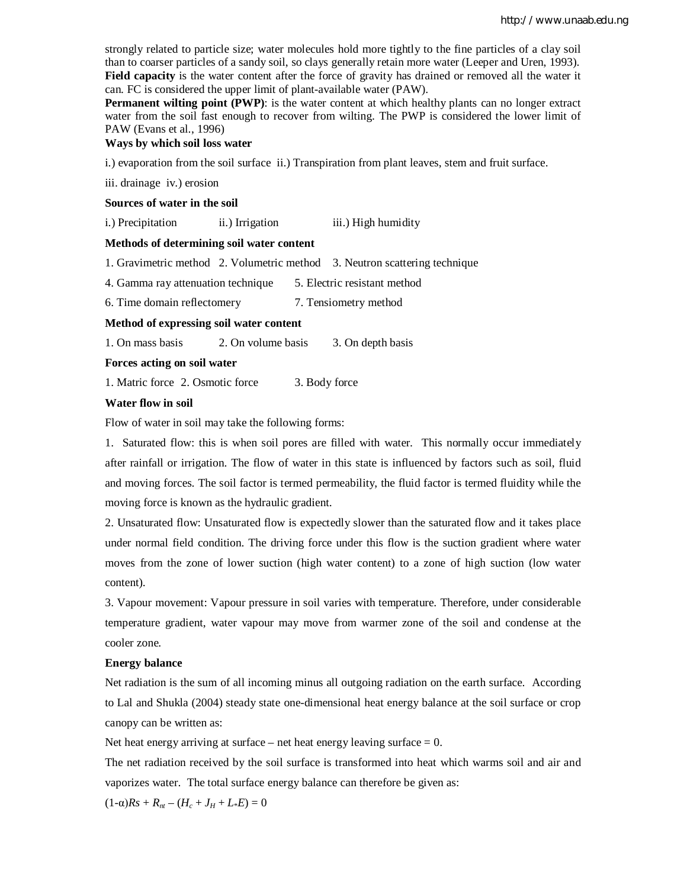strongly related to particle size; water molecules hold more tightly to the fine particles of a clay soil than to coarser particles of a sandy soil, so clays generally retain more water (Leeper and Uren, 1993). **Field capacity** is the water content after the force of gravity has drained or removed all the water it can. FC is considered the upper limit of plant-available water (PAW).

**Permanent wilting point (PWP)**: is the water content at which healthy plants can no longer extract water from the soil fast enough to recover from wilting. The PWP is considered the lower limit of PAW (Evans et al., 1996)

#### **Ways by which soil loss water**

i.) evaporation from the soil surface ii.) Transpiration from plant leaves, stem and fruit surface.

iii. drainage iv.) erosion

#### **Sources of water in the soil**

i.) Precipitation ii.) Irrigation iii.) High humidity

## **Methods of determining soil water content**

1. Gravimetric method 2. Volumetric method 3. Neutron scattering technique

4. Gamma ray attenuation technique 5. Electric resistant method

6. Time domain reflectomery 7. Tensiometry method

## **Method of expressing soil water content**

1. On mass basis 2. On volume basis 3. On depth basis

## **Forces acting on soil water**

1. Matric force 2. Osmotic force 3. Body force

#### **Water flow in soil**

Flow of water in soil may take the following forms:

1. Saturated flow: this is when soil pores are filled with water. This normally occur immediately after rainfall or irrigation. The flow of water in this state is influenced by factors such as soil, fluid and moving forces. The soil factor is termed permeability, the fluid factor is termed fluidity while the moving force is known as the hydraulic gradient.

2. Unsaturated flow: Unsaturated flow is expectedly slower than the saturated flow and it takes place under normal field condition. The driving force under this flow is the suction gradient where water moves from the zone of lower suction (high water content) to a zone of high suction (low water content).

3. Vapour movement: Vapour pressure in soil varies with temperature. Therefore, under considerable temperature gradient, water vapour may move from warmer zone of the soil and condense at the cooler zone.

#### **Energy balance**

Net radiation is the sum of all incoming minus all outgoing radiation on the earth surface. According to Lal and Shukla (2004) steady state one-dimensional heat energy balance at the soil surface or crop canopy can be written as:

Net heat energy arriving at surface – net heat energy leaving surface  $= 0$ .

The net radiation received by the soil surface is transformed into heat which warms soil and air and vaporizes water. The total surface energy balance can therefore be given as:

 $(1-\alpha)Rs + R_{nt} - (H_c + J_H + L*E) = 0$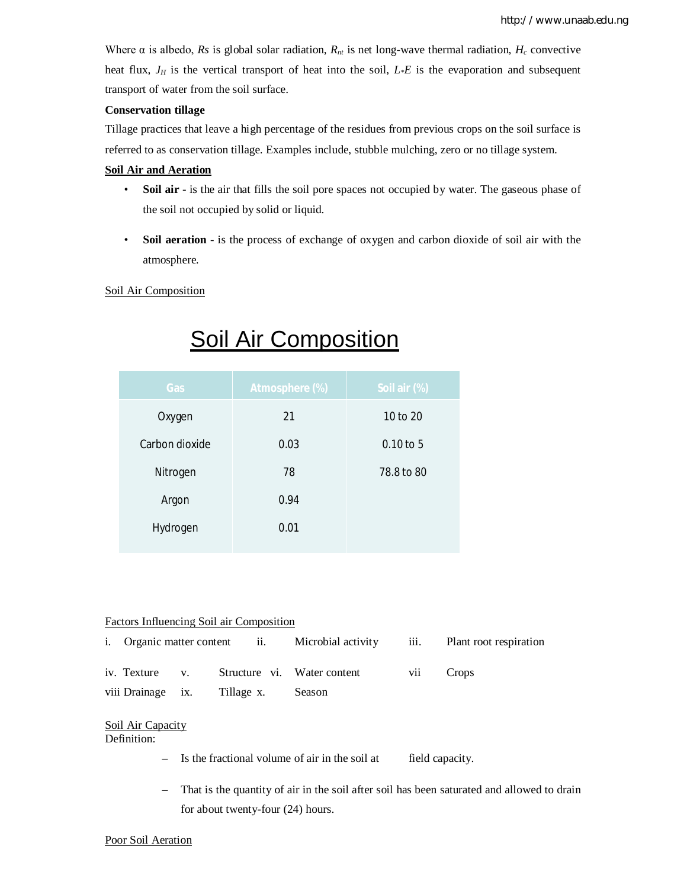Where  $\alpha$  is albedo, *Rs* is global solar radiation,  $R_n$  is net long-wave thermal radiation,  $H_c$  convective heat flux, *J<sup>H</sup>* is the vertical transport of heat into the soil, *L*\**E* is the evaporation and subsequent transport of water from the soil surface.

## **Conservation tillage**

Tillage practices that leave a high percentage of the residues from previous crops on the soil surface is referred to as conservation tillage. Examples include, stubble mulching, zero or no tillage system.

## **Soil Air and Aeration**

- **Soil air** is the air that fills the soil pore spaces not occupied by water. The gaseous phase of the soil not occupied by solid or liquid.
- **Soil aeration -** is the process of exchange of oxygen and carbon dioxide of soil air with the atmosphere.

Soil Air Composition

| Gas            | <b>Atmosphere (%)</b> | Soil air (%) |
|----------------|-----------------------|--------------|
| Oxygen         | 21                    | 10 to 20     |
| Carbon dioxide | 0.03                  | $0.10$ to 5  |
| Nitrogen       | 78                    | 78.8 to 80   |
| Argon          | 0.94                  |              |
| Hydrogen       | 0.01                  |              |
|                |                       |              |

# Soil Air Composition

## Factors Influencing Soil air Composition

|  |                                     | i. Organic matter content ii. Microbial activity |     | iii. Plant root respiration |
|--|-------------------------------------|--------------------------------------------------|-----|-----------------------------|
|  |                                     | iv. Texture v. Structure vi. Water content       | V11 | Crops                       |
|  | viii Drainage ix. Tillage x. Season |                                                  |     |                             |

# Soil Air Capacity

## Definition:

- Is the fractional volume of air in the soil at field capacity.
- That is the quantity of air in the soil after soil has been saturated and allowed to drain for about twenty-four (24) hours.

## Poor Soil Aeration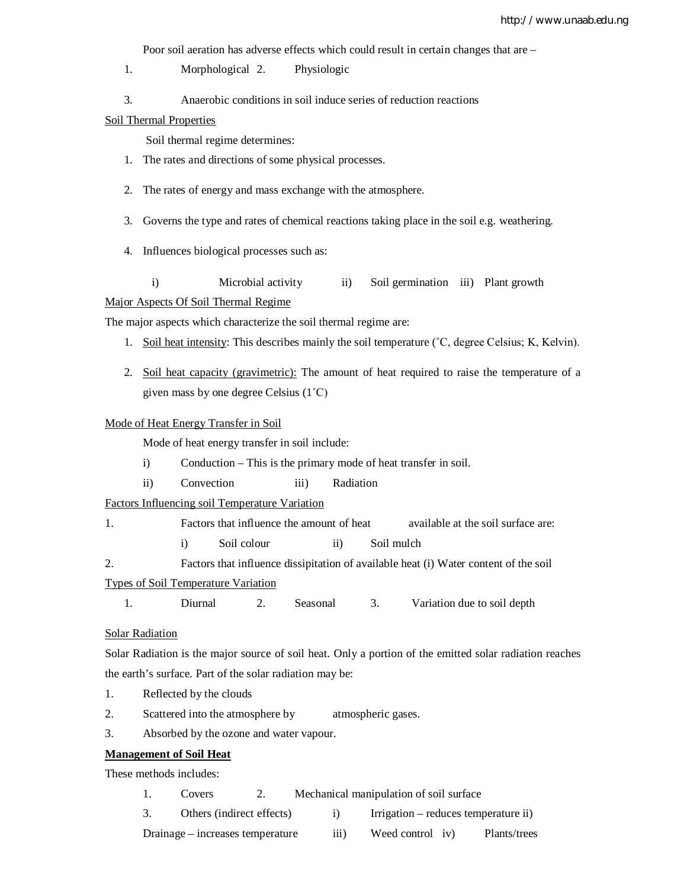Poor soil aeration has adverse effects which could result in certain changes that are –

- 1. Morphological 2. Physiologic
- 3. Anaerobic conditions in soil induce series of reduction reactions

Soil Thermal Properties

Soil thermal regime determines:

- 1. The rates and directions of some physical processes.
- 2. The rates of energy and mass exchange with the atmosphere.
- 3. Governs the type and rates of chemical reactions taking place in the soil e.g. weathering.
- 4. Influences biological processes such as:
- i) Microbial activity ii) Soil germination iii) Plant growth

## Major Aspects Of Soil Thermal Regime

The major aspects which characterize the soil thermal regime are:

- 1. Soil heat intensity: This describes mainly the soil temperature (˚C, degree Celsius; K, Kelvin).
- 2. Soil heat capacity (gravimetric): The amount of heat required to raise the temperature of a given mass by one degree Celsius (1˚C)

#### Mode of Heat Energy Transfer in Soil

Mode of heat energy transfer in soil include:

- i) Conduction This is the primary mode of heat transfer in soil.
- ii) Convection iii) Radiation

Factors Influencing soil Temperature Variation

1. Factors that influence the amount of heat available at the soil surface are:

i) Soil colour ii) Soil mulch

2. Factors that influence dissipitation of available heat (i) Water content of the soil

Types of Soil Temperature Variation

1. Diurnal 2. Seasonal 3. Variation due to soil depth

## Solar Radiation

Solar Radiation is the major source of soil heat. Only a portion of the emitted solar radiation reaches the earth's surface. Part of the solar radiation may be:

- 1. Reflected by the clouds
- 2. Scattered into the atmosphere by atmospheric gases.
- 3. Absorbed by the ozone and water vapour.

## **Management of Soil Heat**

These methods includes:

- 1. Covers 2. Mechanical manipulation of soil surface
- 3. Others (indirect effects) i) Irrigation reduces temperature ii)
- Drainage increases temperature iii) Weed control iv) Plants/trees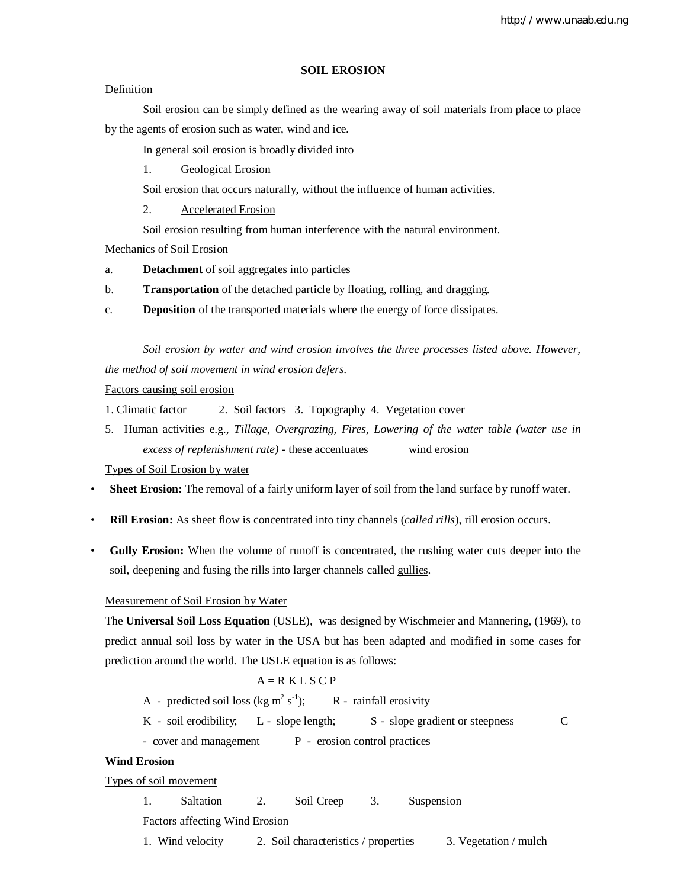## **SOIL EROSION**

## Definition

Soil erosion can be simply defined as the wearing away of soil materials from place to place by the agents of erosion such as water, wind and ice.

In general soil erosion is broadly divided into

1. Geological Erosion

Soil erosion that occurs naturally, without the influence of human activities.

2. Accelerated Erosion

Soil erosion resulting from human interference with the natural environment.

Mechanics of Soil Erosion

- a. **Detachment** of soil aggregates into particles
- b. **Transportation** of the detached particle by floating, rolling, and dragging.
- c. **Deposition** of the transported materials where the energy of force dissipates.

*Soil erosion by water and wind erosion involves the three processes listed above. However, the method of soil movement in wind erosion defers.*

## Factors causing soil erosion

- 1. Climatic factor 2. Soil factors 3. Topography 4. Vegetation cover
- 5. Human activities e.g., *Tillage, Overgrazing, Fires, Lowering of the water table (water use in excess of replenishment rate) -* these accentuates wind erosion

Types of Soil Erosion by water

- **Sheet Erosion:** The removal of a fairly uniform layer of soil from the land surface by runoff water.
- **Rill Erosion:** As sheet flow is concentrated into tiny channels (*called rills*), rill erosion occurs.
- **Gully Erosion:** When the volume of runoff is concentrated, the rushing water cuts deeper into the soil, deepening and fusing the rills into larger channels called gullies.

#### Measurement of Soil Erosion by Water

The **Universal Soil Loss Equation** (USLE), was designed by Wischmeier and Mannering, (1969), to predict annual soil loss by water in the USA but has been adapted and modified in some cases for prediction around the world. The USLE equation is as follows:

## $A = R K L S C P$

- A predicted soil loss (kg m<sup>2</sup> s<sup>-1</sup> R - rainfall erosivity
- $K$  soil erodibility;  $L$  slope length;  $S$  slope gradient or steepness  $C$

- cover and management P - erosion control practices

## **Wind Erosion**

Types of soil movement

1. Saltation 2. Soil Creep 3. Suspension

Factors affecting Wind Erosion

1. Wind velocity 2. Soil characteristics / properties 3. Vegetation / mulch